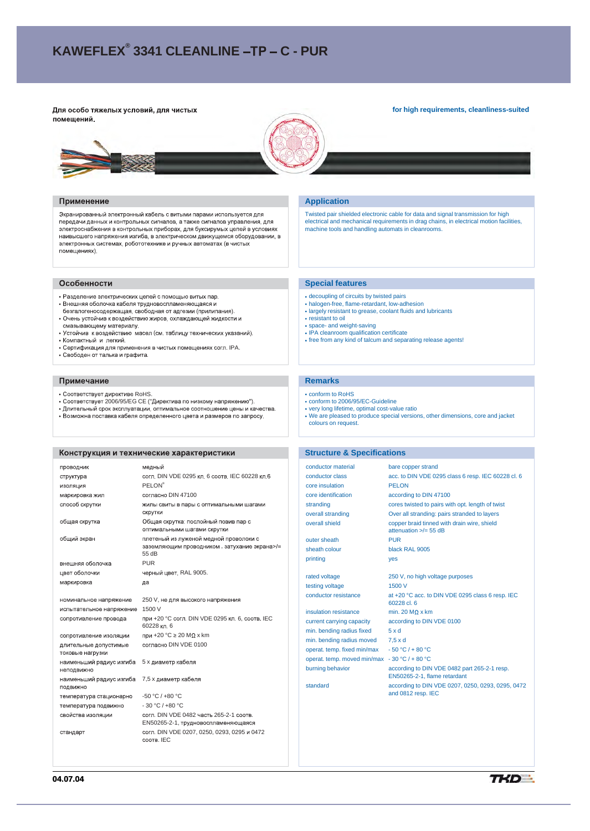# **KAWEFLEX<sup>®</sup> 3341 CLEANLINE –TP – C - PUR**

Для особо тяжелых условий, для чистых помещений.

#### **for high requirements, cleanliness-suited**



#### Применение

Экранированный электронный кабель с витыми парами используется для передачи данных и контрольных сигналов, а также сигналов управления, для электроснабжения в контрольных приборах, для буксирумых цепей в условиях<br>наивысшего напряжения изгиба, в электрическом движущемся оборудовании, в электронных системах, робототехнике и ручных автоматах (в чистых помещениях).

#### Особенности

- Разделение электрических цепей с помощью витых пар.
- 
- Внешняя оболочка кабеля трудновоспламеняющаяся и<br>безгалогеносодержащая, свободная от адгезии (прилипания).<br>• Очень устойчив к воздействию жиров, охлаждающей жидкости и
- смазывающему материалу.<br>• Устойчив к воздействию масел (см. таблицу технических указаний). • Компактный и легкий
- Сертификация для применения в чистых помещениях согл. IPA.
- Свободен от талька и графита.

#### Примечание

- Соответствует директиве RoHS.
- 
- Соответствует 2006/95/EG СЕ ("Директива по низкому напряжению").<br>• Длительный срок эксплуатации, оптимальное соотношение цены и качества.<br>• Возможна поставка кабеля определенного цвета и размеров по запросу.
- 

# Конструкция и технические характеристики

| ПРОВОДНИК                                 | медный                                                                                          |  |
|-------------------------------------------|-------------------------------------------------------------------------------------------------|--|
| структура                                 | согл. DIN VDE 0295 кл. 6 соотв. IEC 60228 кл.6                                                  |  |
| изоляция                                  | <b>PELON®</b>                                                                                   |  |
| маркировка жил                            | согласно DIN 47100                                                                              |  |
| способ скрутки                            | жилы свиты в пары с оптимальными шагами<br>скрутки                                              |  |
| общая скрутка                             | Общая скрутка: послойный повив пар с<br>оптимальными шагами скрутки                             |  |
| общий экран                               | плетеный из луженой медной проволоки с<br>заземляющим проводником, затухание экрана>/=<br>55 dB |  |
| внешняя оболочка                          | <b>PUR</b>                                                                                      |  |
| цвет оболочки                             | черный цвет, RAL 9005.                                                                          |  |
| маркировка                                | да                                                                                              |  |
| номинальное напряжение                    | 250 V, не для высокого напряжения                                                               |  |
| испытательное напряжение                  | 1500 V                                                                                          |  |
| сопротивление провода                     | при +20 °С согл. DIN VDE 0295 кл. 6, соотв. IEC<br>60228 кл. 6                                  |  |
| сопротивление изоляции                    | при +20 °С ≥ 20 МΩ х km                                                                         |  |
| длительные допустимые<br>токовые нагрузки | согласно DIN VDE 0100                                                                           |  |
| наименьший радиус изгиба<br>неподвижно    | 5 х диаметр кабеля                                                                              |  |
| наименьший радиус изгиба<br>ПОДВИЖНО      | 7,5 х диаметр кабеля                                                                            |  |
| температура стационарно                   | $-50 °C / +80 °C$                                                                               |  |
| температура подвижно                      | $-30 °C / +80 °C$                                                                               |  |
| свойства изоляции                         | согл. DIN VDE 0482 часть 265-2-1 соотв.<br>EN50265-2-1, трудновоспламеняющаяся                  |  |
| стандарт                                  | согл. DIN VDE 0207, 0250, 0293, 0295 и 0472<br>COOTB, IEC                                       |  |

### **Application**

Twisted pair shielded electronic cable for data and signal transmission for high electrical and mechanical requirements in drag chains, in electrical motion facilities, machine tools and handling automats in cleanrooms.

#### **Special features**

- decoupling of circuits by twisted pairs
- halogen-free, flame-retardant, low-adhesion
- largely resistant to grease, coolant fluids and lubricants
- resistant to oil
- space- and weight-saving • IPA cleanroom qualification certificate
- free from any kind of talcum and separating release agents!
- 

# **Remarks**

- conform to RoHS
- conform to 2006/95/EC-Guideline
- very long lifetime, optimal cost-value ratio We are pleased to produce special versions, other dimensions, core and jacket colours on request.

#### **Structure & Specifications**

| conductor material                            | bare copper strand                                                           |  |  |
|-----------------------------------------------|------------------------------------------------------------------------------|--|--|
| conductor class                               | acc. to DIN VDE 0295 class 6 resp. IEC 60228 cl. 6                           |  |  |
| core insulation                               | <b>PELON</b>                                                                 |  |  |
| core identification                           | according to DIN 47100                                                       |  |  |
| stranding                                     | cores twisted to pairs with opt. length of twist                             |  |  |
| overall stranding                             | Over all stranding: pairs stranded to layers                                 |  |  |
| overall shield                                | copper braid tinned with drain wire, shield<br>attenuation $\ge$ /= 55 dB    |  |  |
| outer sheath                                  | <b>PUR</b>                                                                   |  |  |
| sheath colour                                 | black RAL 9005                                                               |  |  |
| printing                                      | yes                                                                          |  |  |
| rated voltage                                 | 250 V, no high voltage purposes                                              |  |  |
| testing voltage                               | 1500 V                                                                       |  |  |
| conductor resistance                          | at +20 °C acc. to DIN VDE 0295 class 6 resp. IEC<br>60228 cl. 6              |  |  |
| insulation resistance                         | min. 20 MO x km                                                              |  |  |
| current carrying capacity                     | according to DIN VDE 0100                                                    |  |  |
| min. bending radius fixed                     | 5xd                                                                          |  |  |
| min. bending radius moved                     | $7.5 \times d$                                                               |  |  |
| operat. temp. fixed min/max                   | $-50 °C / + 80 °C$                                                           |  |  |
| operat. temp. moved min/max - 30 °C / + 80 °C |                                                                              |  |  |
| burning behavior                              | according to DIN VDE 0482 part 265-2-1 resp.<br>EN50265-2-1, flame retardant |  |  |
| standard                                      | according to DIN VDE 0207, 0250, 0293, 0295, 0472<br>and 0812 resp. IEC      |  |  |

**04.07.04**